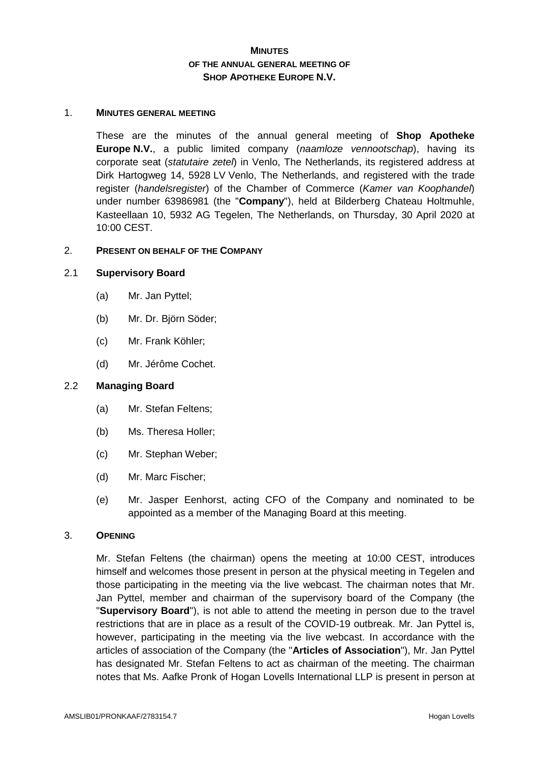# **MINUTES OF THE ANNUAL GENERAL MEETING OF SHOP APOTHEKE EUROPE N.V.**

#### 1. **MINUTES GENERAL MEETING**

These are the minutes of the annual general meeting of **Shop Apotheke Europe N.V.**, a public limited company (*naamloze vennootschap*), having its corporate seat (*statutaire zetel*) in Venlo, The Netherlands, its registered address at Dirk Hartogweg 14, 5928 LV Venlo, The Netherlands, and registered with the trade register (*handelsregister*) of the Chamber of Commerce (*Kamer van Koophandel*) under number 63986981 (the "**Company**"), held at Bilderberg Chateau Holtmuhle, Kasteellaan 10, 5932 AG Tegelen, The Netherlands, on Thursday, 30 April 2020 at 10:00 CEST.

#### 2. **PRESENT ON BEHALF OF THE COMPANY**

### 2.1 **Supervisory Board**

- (a) Mr. Jan Pyttel;
- (b) Mr. Dr. Björn Söder;
- (c) Mr. Frank Köhler;
- (d) Mr. Jérôme Cochet.

## 2.2 **Managing Board**

- (a) Mr. Stefan Feltens;
- (b) Ms. Theresa Holler;
- (c) Mr. Stephan Weber;
- (d) Mr. Marc Fischer;
- (e) Mr. Jasper Eenhorst, acting CFO of the Company and nominated to be appointed as a member of the Managing Board at this meeting.

#### 3. **OPENING**

Mr. Stefan Feltens (the chairman) opens the meeting at 10:00 CEST, introduces himself and welcomes those present in person at the physical meeting in Tegelen and those participating in the meeting via the live webcast. The chairman notes that Mr. Jan Pyttel, member and chairman of the supervisory board of the Company (the "**Supervisory Board**"), is not able to attend the meeting in person due to the travel restrictions that are in place as a result of the COVID-19 outbreak. Mr. Jan Pyttel is, however, participating in the meeting via the live webcast. In accordance with the articles of association of the Company (the "**Articles of Association**"), Mr. Jan Pyttel has designated Mr. Stefan Feltens to act as chairman of the meeting. The chairman notes that Ms. Aafke Pronk of Hogan Lovells International LLP is present in person at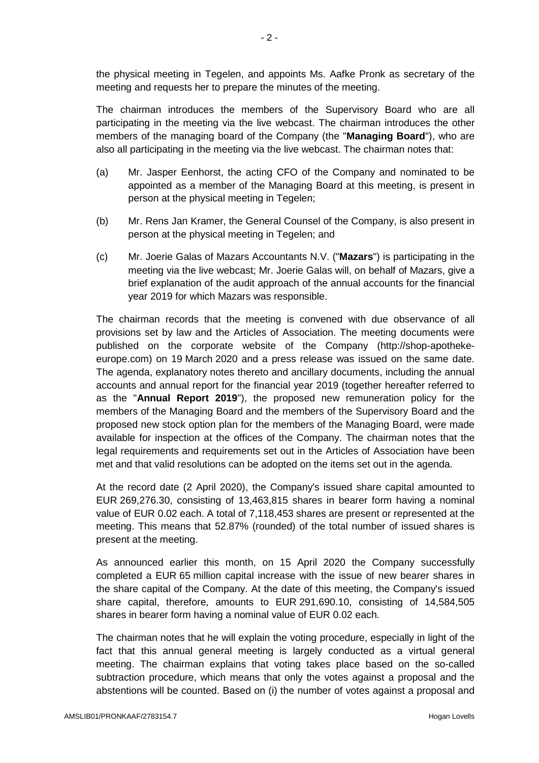the physical meeting in Tegelen, and appoints Ms. Aafke Pronk as secretary of the meeting and requests her to prepare the minutes of the meeting.

The chairman introduces the members of the Supervisory Board who are all participating in the meeting via the live webcast. The chairman introduces the other members of the managing board of the Company (the "**Managing Board**"), who are also all participating in the meeting via the live webcast. The chairman notes that:

- (a) Mr. Jasper Eenhorst, the acting CFO of the Company and nominated to be appointed as a member of the Managing Board at this meeting, is present in person at the physical meeting in Tegelen;
- (b) Mr. Rens Jan Kramer, the General Counsel of the Company, is also present in person at the physical meeting in Tegelen; and
- (c) Mr. Joerie Galas of Mazars Accountants N.V. ("**Mazars**") is participating in the meeting via the live webcast; Mr. Joerie Galas will, on behalf of Mazars, give a brief explanation of the audit approach of the annual accounts for the financial year 2019 for which Mazars was responsible.

The chairman records that the meeting is convened with due observance of all provisions set by law and the Articles of Association. The meeting documents were published on the corporate website of the Company (http://shop-apothekeeurope.com) on 19 March 2020 and a press release was issued on the same date. The agenda, explanatory notes thereto and ancillary documents, including the annual accounts and annual report for the financial year 2019 (together hereafter referred to as the "**Annual Report 2019**"), the proposed new remuneration policy for the members of the Managing Board and the members of the Supervisory Board and the proposed new stock option plan for the members of the Managing Board, were made available for inspection at the offices of the Company. The chairman notes that the legal requirements and requirements set out in the Articles of Association have been met and that valid resolutions can be adopted on the items set out in the agenda.

At the record date (2 April 2020), the Company's issued share capital amounted to EUR 269,276.30, consisting of 13,463,815 shares in bearer form having a nominal value of EUR 0.02 each. A total of 7,118,453 shares are present or represented at the meeting. This means that 52.87% (rounded) of the total number of issued shares is present at the meeting.

As announced earlier this month, on 15 April 2020 the Company successfully completed a EUR 65 million capital increase with the issue of new bearer shares in the share capital of the Company. At the date of this meeting, the Company's issued share capital, therefore, amounts to EUR 291,690.10, consisting of 14,584,505 shares in bearer form having a nominal value of EUR 0.02 each.

The chairman notes that he will explain the voting procedure, especially in light of the fact that this annual general meeting is largely conducted as a virtual general meeting. The chairman explains that voting takes place based on the so-called subtraction procedure, which means that only the votes against a proposal and the abstentions will be counted. Based on (i) the number of votes against a proposal and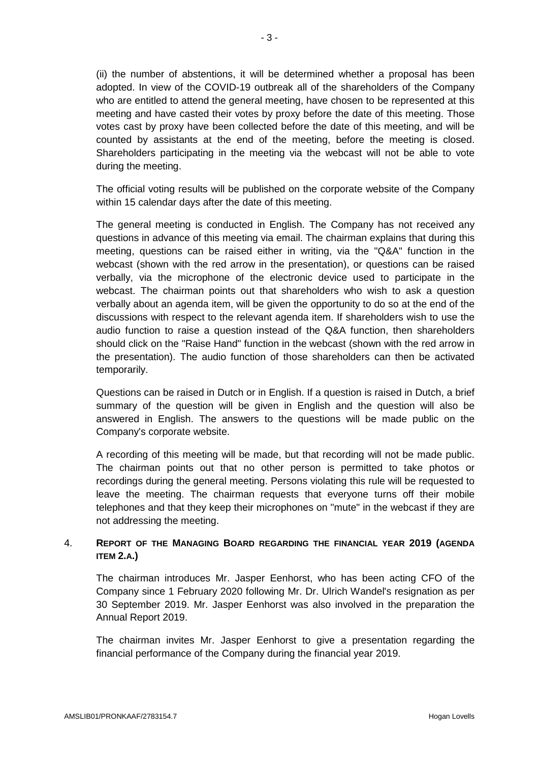(ii) the number of abstentions, it will be determined whether a proposal has been adopted. In view of the COVID-19 outbreak all of the shareholders of the Company who are entitled to attend the general meeting, have chosen to be represented at this meeting and have casted their votes by proxy before the date of this meeting. Those votes cast by proxy have been collected before the date of this meeting, and will be counted by assistants at the end of the meeting, before the meeting is closed. Shareholders participating in the meeting via the webcast will not be able to vote during the meeting.

The official voting results will be published on the corporate website of the Company within 15 calendar days after the date of this meeting.

The general meeting is conducted in English. The Company has not received any questions in advance of this meeting via email. The chairman explains that during this meeting, questions can be raised either in writing, via the "Q&A" function in the webcast (shown with the red arrow in the presentation), or questions can be raised verbally, via the microphone of the electronic device used to participate in the webcast. The chairman points out that shareholders who wish to ask a question verbally about an agenda item, will be given the opportunity to do so at the end of the discussions with respect to the relevant agenda item. If shareholders wish to use the audio function to raise a question instead of the Q&A function, then shareholders should click on the "Raise Hand" function in the webcast (shown with the red arrow in the presentation). The audio function of those shareholders can then be activated temporarily.

Questions can be raised in Dutch or in English. If a question is raised in Dutch, a brief summary of the question will be given in English and the question will also be answered in English. The answers to the questions will be made public on the Company's corporate website.

A recording of this meeting will be made, but that recording will not be made public. The chairman points out that no other person is permitted to take photos or recordings during the general meeting. Persons violating this rule will be requested to leave the meeting. The chairman requests that everyone turns off their mobile telephones and that they keep their microphones on "mute" in the webcast if they are not addressing the meeting.

# 4. **REPORT OF THE MANAGING BOARD REGARDING THE FINANCIAL YEAR 2019 (AGENDA ITEM 2.A.)**

The chairman introduces Mr. Jasper Eenhorst, who has been acting CFO of the Company since 1 February 2020 following Mr. Dr. Ulrich Wandel's resignation as per 30 September 2019. Mr. Jasper Eenhorst was also involved in the preparation the Annual Report 2019.

The chairman invites Mr. Jasper Eenhorst to give a presentation regarding the financial performance of the Company during the financial year 2019.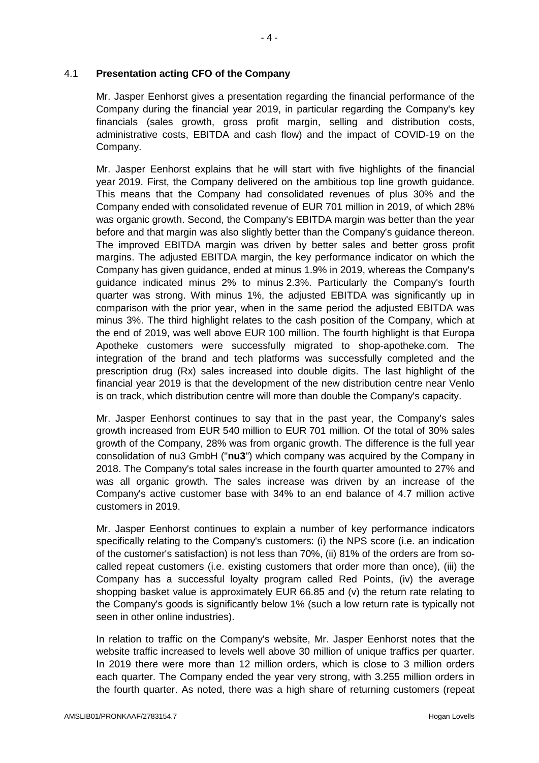Mr. Jasper Eenhorst gives a presentation regarding the financial performance of the Company during the financial year 2019, in particular regarding the Company's key financials (sales growth, gross profit margin, selling and distribution costs, administrative costs, EBITDA and cash flow) and the impact of COVID-19 on the Company.

Mr. Jasper Eenhorst explains that he will start with five highlights of the financial year 2019. First, the Company delivered on the ambitious top line growth guidance. This means that the Company had consolidated revenues of plus 30% and the Company ended with consolidated revenue of EUR 701 million in 2019, of which 28% was organic growth. Second, the Company's EBITDA margin was better than the year before and that margin was also slightly better than the Company's guidance thereon. The improved EBITDA margin was driven by better sales and better gross profit margins. The adjusted EBITDA margin, the key performance indicator on which the Company has given guidance, ended at minus 1.9% in 2019, whereas the Company's guidance indicated minus 2% to minus 2.3%. Particularly the Company's fourth quarter was strong. With minus 1%, the adjusted EBITDA was significantly up in comparison with the prior year, when in the same period the adjusted EBITDA was minus 3%. The third highlight relates to the cash position of the Company, which at the end of 2019, was well above EUR 100 million. The fourth highlight is that Europa Apotheke customers were successfully migrated to shop-apotheke.com. The integration of the brand and tech platforms was successfully completed and the prescription drug (Rx) sales increased into double digits. The last highlight of the financial year 2019 is that the development of the new distribution centre near Venlo is on track, which distribution centre will more than double the Company's capacity.

Mr. Jasper Eenhorst continues to say that in the past year, the Company's sales growth increased from EUR 540 million to EUR 701 million. Of the total of 30% sales growth of the Company, 28% was from organic growth. The difference is the full year consolidation of nu3 GmbH ("**nu3**") which company was acquired by the Company in 2018. The Company's total sales increase in the fourth quarter amounted to 27% and was all organic growth. The sales increase was driven by an increase of the Company's active customer base with 34% to an end balance of 4.7 million active customers in 2019.

Mr. Jasper Eenhorst continues to explain a number of key performance indicators specifically relating to the Company's customers: (i) the NPS score (i.e. an indication of the customer's satisfaction) is not less than 70%, (ii) 81% of the orders are from socalled repeat customers (i.e. existing customers that order more than once), (iii) the Company has a successful loyalty program called Red Points, (iv) the average shopping basket value is approximately EUR 66.85 and (v) the return rate relating to the Company's goods is significantly below 1% (such a low return rate is typically not seen in other online industries).

In relation to traffic on the Company's website, Mr. Jasper Eenhorst notes that the website traffic increased to levels well above 30 million of unique traffics per quarter. In 2019 there were more than 12 million orders, which is close to 3 million orders each quarter. The Company ended the year very strong, with 3.255 million orders in the fourth quarter. As noted, there was a high share of returning customers (repeat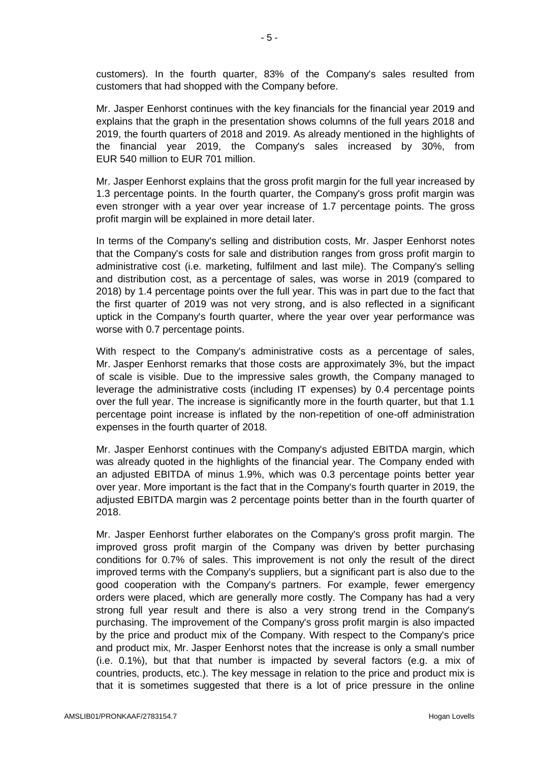customers). In the fourth quarter, 83% of the Company's sales resulted from customers that had shopped with the Company before.

Mr. Jasper Eenhorst continues with the key financials for the financial year 2019 and explains that the graph in the presentation shows columns of the full years 2018 and 2019, the fourth quarters of 2018 and 2019. As already mentioned in the highlights of the financial year 2019, the Company's sales increased by 30%, from EUR 540 million to EUR 701 million.

Mr. Jasper Eenhorst explains that the gross profit margin for the full year increased by 1.3 percentage points. In the fourth quarter, the Company's gross profit margin was even stronger with a year over year increase of 1.7 percentage points. The gross profit margin will be explained in more detail later.

In terms of the Company's selling and distribution costs, Mr. Jasper Eenhorst notes that the Company's costs for sale and distribution ranges from gross profit margin to administrative cost (i.e. marketing, fulfilment and last mile). The Company's selling and distribution cost, as a percentage of sales, was worse in 2019 (compared to 2018) by 1.4 percentage points over the full year. This was in part due to the fact that the first quarter of 2019 was not very strong, and is also reflected in a significant uptick in the Company's fourth quarter, where the year over year performance was worse with 0.7 percentage points.

With respect to the Company's administrative costs as a percentage of sales, Mr. Jasper Eenhorst remarks that those costs are approximately 3%, but the impact of scale is visible. Due to the impressive sales growth, the Company managed to leverage the administrative costs (including IT expenses) by 0.4 percentage points over the full year. The increase is significantly more in the fourth quarter, but that 1.1 percentage point increase is inflated by the non-repetition of one-off administration expenses in the fourth quarter of 2018.

Mr. Jasper Eenhorst continues with the Company's adjusted EBITDA margin, which was already quoted in the highlights of the financial year. The Company ended with an adjusted EBITDA of minus 1.9%, which was 0.3 percentage points better year over year. More important is the fact that in the Company's fourth quarter in 2019, the adjusted EBITDA margin was 2 percentage points better than in the fourth quarter of 2018.

Mr. Jasper Eenhorst further elaborates on the Company's gross profit margin. The improved gross profit margin of the Company was driven by better purchasing conditions for 0.7% of sales. This improvement is not only the result of the direct improved terms with the Company's suppliers, but a significant part is also due to the good cooperation with the Company's partners. For example, fewer emergency orders were placed, which are generally more costly. The Company has had a very strong full year result and there is also a very strong trend in the Company's purchasing. The improvement of the Company's gross profit margin is also impacted by the price and product mix of the Company. With respect to the Company's price and product mix, Mr. Jasper Eenhorst notes that the increase is only a small number (i.e. 0.1%), but that that number is impacted by several factors (e.g. a mix of countries, products, etc.). The key message in relation to the price and product mix is that it is sometimes suggested that there is a lot of price pressure in the online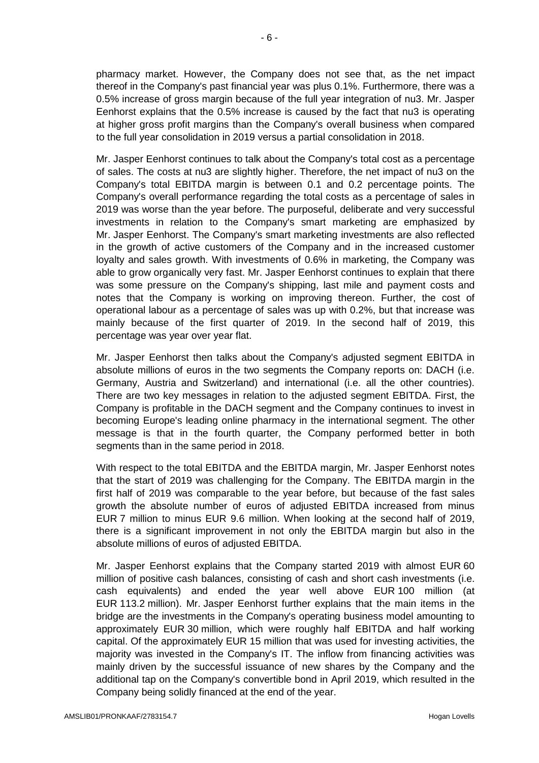pharmacy market. However, the Company does not see that, as the net impact thereof in the Company's past financial year was plus 0.1%. Furthermore, there was a 0.5% increase of gross margin because of the full year integration of nu3. Mr. Jasper Eenhorst explains that the 0.5% increase is caused by the fact that nu3 is operating at higher gross profit margins than the Company's overall business when compared to the full year consolidation in 2019 versus a partial consolidation in 2018.

Mr. Jasper Eenhorst continues to talk about the Company's total cost as a percentage of sales. The costs at nu3 are slightly higher. Therefore, the net impact of nu3 on the Company's total EBITDA margin is between 0.1 and 0.2 percentage points. The Company's overall performance regarding the total costs as a percentage of sales in 2019 was worse than the year before. The purposeful, deliberate and very successful investments in relation to the Company's smart marketing are emphasized by Mr. Jasper Eenhorst. The Company's smart marketing investments are also reflected in the growth of active customers of the Company and in the increased customer loyalty and sales growth. With investments of 0.6% in marketing, the Company was able to grow organically very fast. Mr. Jasper Eenhorst continues to explain that there was some pressure on the Company's shipping, last mile and payment costs and notes that the Company is working on improving thereon. Further, the cost of operational labour as a percentage of sales was up with 0.2%, but that increase was mainly because of the first quarter of 2019. In the second half of 2019, this percentage was year over year flat.

Mr. Jasper Eenhorst then talks about the Company's adjusted segment EBITDA in absolute millions of euros in the two segments the Company reports on: DACH (i.e. Germany, Austria and Switzerland) and international (i.e. all the other countries). There are two key messages in relation to the adjusted segment EBITDA. First, the Company is profitable in the DACH segment and the Company continues to invest in becoming Europe's leading online pharmacy in the international segment. The other message is that in the fourth quarter, the Company performed better in both segments than in the same period in 2018.

With respect to the total EBITDA and the EBITDA margin, Mr. Jasper Eenhorst notes that the start of 2019 was challenging for the Company. The EBITDA margin in the first half of 2019 was comparable to the year before, but because of the fast sales growth the absolute number of euros of adjusted EBITDA increased from minus EUR 7 million to minus EUR 9.6 million. When looking at the second half of 2019, there is a significant improvement in not only the EBITDA margin but also in the absolute millions of euros of adjusted EBITDA.

Mr. Jasper Eenhorst explains that the Company started 2019 with almost EUR 60 million of positive cash balances, consisting of cash and short cash investments (i.e. cash equivalents) and ended the year well above EUR 100 million (at EUR 113.2 million). Mr. Jasper Eenhorst further explains that the main items in the bridge are the investments in the Company's operating business model amounting to approximately EUR 30 million, which were roughly half EBITDA and half working capital. Of the approximately EUR 15 million that was used for investing activities, the majority was invested in the Company's IT. The inflow from financing activities was mainly driven by the successful issuance of new shares by the Company and the additional tap on the Company's convertible bond in April 2019, which resulted in the Company being solidly financed at the end of the year.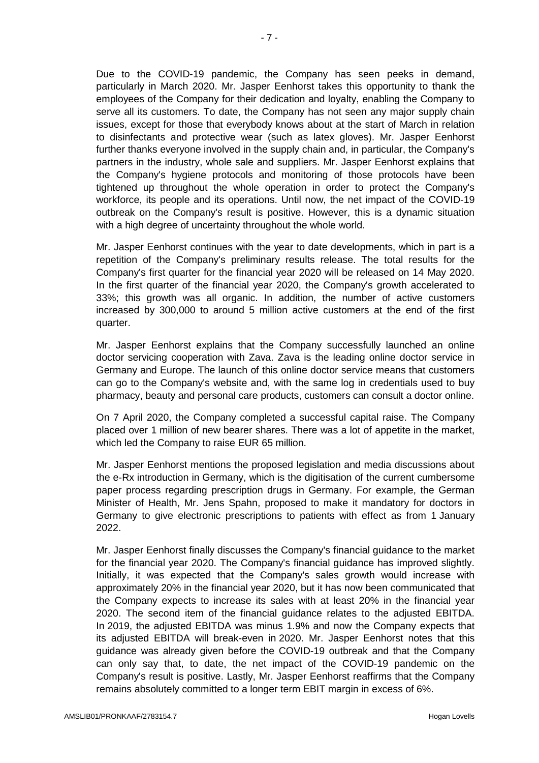Due to the COVID-19 pandemic, the Company has seen peeks in demand, particularly in March 2020. Mr. Jasper Eenhorst takes this opportunity to thank the employees of the Company for their dedication and loyalty, enabling the Company to serve all its customers. To date, the Company has not seen any major supply chain issues, except for those that everybody knows about at the start of March in relation to disinfectants and protective wear (such as latex gloves). Mr. Jasper Eenhorst further thanks everyone involved in the supply chain and, in particular, the Company's partners in the industry, whole sale and suppliers. Mr. Jasper Eenhorst explains that the Company's hygiene protocols and monitoring of those protocols have been tightened up throughout the whole operation in order to protect the Company's workforce, its people and its operations. Until now, the net impact of the COVID-19 outbreak on the Company's result is positive. However, this is a dynamic situation with a high degree of uncertainty throughout the whole world.

Mr. Jasper Eenhorst continues with the year to date developments, which in part is a repetition of the Company's preliminary results release. The total results for the Company's first quarter for the financial year 2020 will be released on 14 May 2020. In the first quarter of the financial year 2020, the Company's growth accelerated to 33%; this growth was all organic. In addition, the number of active customers increased by 300,000 to around 5 million active customers at the end of the first quarter.

Mr. Jasper Eenhorst explains that the Company successfully launched an online doctor servicing cooperation with Zava. Zava is the leading online doctor service in Germany and Europe. The launch of this online doctor service means that customers can go to the Company's website and, with the same log in credentials used to buy pharmacy, beauty and personal care products, customers can consult a doctor online.

On 7 April 2020, the Company completed a successful capital raise. The Company placed over 1 million of new bearer shares. There was a lot of appetite in the market, which led the Company to raise EUR 65 million.

Mr. Jasper Eenhorst mentions the proposed legislation and media discussions about the e-Rx introduction in Germany, which is the digitisation of the current cumbersome paper process regarding prescription drugs in Germany. For example, the German Minister of Health, Mr. Jens Spahn, proposed to make it mandatory for doctors in Germany to give electronic prescriptions to patients with effect as from 1 January 2022.

Mr. Jasper Eenhorst finally discusses the Company's financial guidance to the market for the financial year 2020. The Company's financial guidance has improved slightly. Initially, it was expected that the Company's sales growth would increase with approximately 20% in the financial year 2020, but it has now been communicated that the Company expects to increase its sales with at least 20% in the financial year 2020. The second item of the financial guidance relates to the adjusted EBITDA. In 2019, the adjusted EBITDA was minus 1.9% and now the Company expects that its adjusted EBITDA will break-even in 2020. Mr. Jasper Eenhorst notes that this guidance was already given before the COVID-19 outbreak and that the Company can only say that, to date, the net impact of the COVID-19 pandemic on the Company's result is positive. Lastly, Mr. Jasper Eenhorst reaffirms that the Company remains absolutely committed to a longer term EBIT margin in excess of 6%.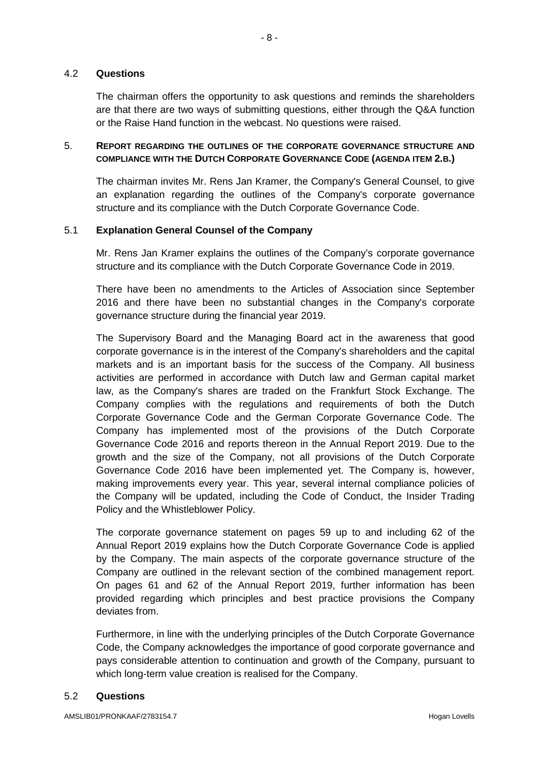### 4.2 **Questions**

The chairman offers the opportunity to ask questions and reminds the shareholders are that there are two ways of submitting questions, either through the Q&A function or the Raise Hand function in the webcast. No questions were raised.

# 5. **REPORT REGARDING THE OUTLINES OF THE CORPORATE GOVERNANCE STRUCTURE AND COMPLIANCE WITH THE DUTCH CORPORATE GOVERNANCE CODE (AGENDA ITEM 2.B.)**

The chairman invites Mr. Rens Jan Kramer, the Company's General Counsel, to give an explanation regarding the outlines of the Company's corporate governance structure and its compliance with the Dutch Corporate Governance Code.

### 5.1 **Explanation General Counsel of the Company**

Mr. Rens Jan Kramer explains the outlines of the Company's corporate governance structure and its compliance with the Dutch Corporate Governance Code in 2019.

There have been no amendments to the Articles of Association since September 2016 and there have been no substantial changes in the Company's corporate governance structure during the financial year 2019.

The Supervisory Board and the Managing Board act in the awareness that good corporate governance is in the interest of the Company's shareholders and the capital markets and is an important basis for the success of the Company. All business activities are performed in accordance with Dutch law and German capital market law, as the Company's shares are traded on the Frankfurt Stock Exchange. The Company complies with the regulations and requirements of both the Dutch Corporate Governance Code and the German Corporate Governance Code. The Company has implemented most of the provisions of the Dutch Corporate Governance Code 2016 and reports thereon in the Annual Report 2019. Due to the growth and the size of the Company, not all provisions of the Dutch Corporate Governance Code 2016 have been implemented yet. The Company is, however, making improvements every year. This year, several internal compliance policies of the Company will be updated, including the Code of Conduct, the Insider Trading Policy and the Whistleblower Policy.

The corporate governance statement on pages 59 up to and including 62 of the Annual Report 2019 explains how the Dutch Corporate Governance Code is applied by the Company. The main aspects of the corporate governance structure of the Company are outlined in the relevant section of the combined management report. On pages 61 and 62 of the Annual Report 2019, further information has been provided regarding which principles and best practice provisions the Company deviates from.

Furthermore, in line with the underlying principles of the Dutch Corporate Governance Code, the Company acknowledges the importance of good corporate governance and pays considerable attention to continuation and growth of the Company, pursuant to which long-term value creation is realised for the Company.

#### 5.2 **Questions**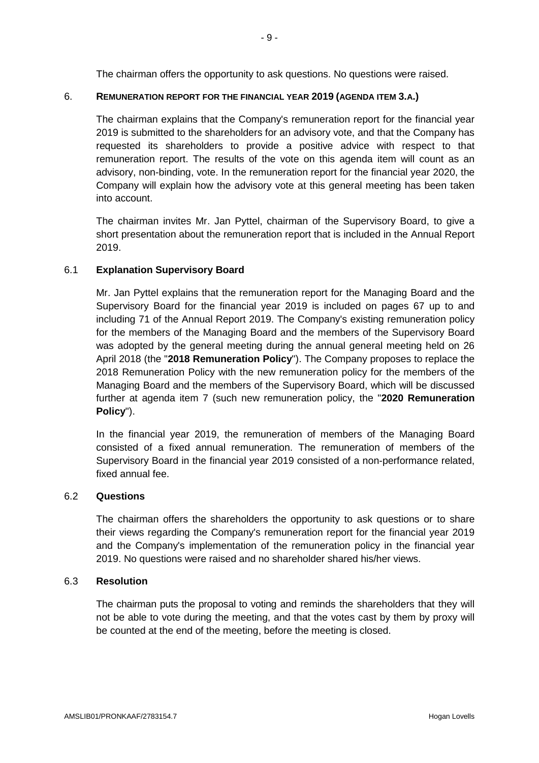The chairman offers the opportunity to ask questions. No questions were raised.

## 6. **REMUNERATION REPORT FOR THE FINANCIAL YEAR 2019 (AGENDA ITEM 3.A.)**

The chairman explains that the Company's remuneration report for the financial year 2019 is submitted to the shareholders for an advisory vote, and that the Company has requested its shareholders to provide a positive advice with respect to that remuneration report. The results of the vote on this agenda item will count as an advisory, non-binding, vote. In the remuneration report for the financial year 2020, the Company will explain how the advisory vote at this general meeting has been taken into account.

The chairman invites Mr. Jan Pyttel, chairman of the Supervisory Board, to give a short presentation about the remuneration report that is included in the Annual Report 2019.

### 6.1 **Explanation Supervisory Board**

Mr. Jan Pyttel explains that the remuneration report for the Managing Board and the Supervisory Board for the financial year 2019 is included on pages 67 up to and including 71 of the Annual Report 2019. The Company's existing remuneration policy for the members of the Managing Board and the members of the Supervisory Board was adopted by the general meeting during the annual general meeting held on 26 April 2018 (the "**2018 Remuneration Policy**"). The Company proposes to replace the 2018 Remuneration Policy with the new remuneration policy for the members of the Managing Board and the members of the Supervisory Board, which will be discussed further at agenda item 7 (such new remuneration policy, the "**2020 Remuneration Policy**").

In the financial year 2019, the remuneration of members of the Managing Board consisted of a fixed annual remuneration. The remuneration of members of the Supervisory Board in the financial year 2019 consisted of a non-performance related, fixed annual fee.

#### 6.2 **Questions**

The chairman offers the shareholders the opportunity to ask questions or to share their views regarding the Company's remuneration report for the financial year 2019 and the Company's implementation of the remuneration policy in the financial year 2019. No questions were raised and no shareholder shared his/her views.

### 6.3 **Resolution**

The chairman puts the proposal to voting and reminds the shareholders that they will not be able to vote during the meeting, and that the votes cast by them by proxy will be counted at the end of the meeting, before the meeting is closed.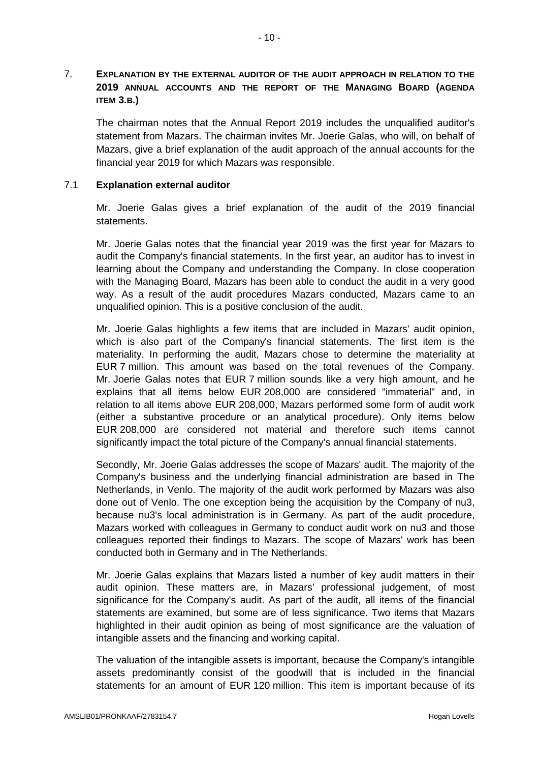# 7. **EXPLANATION BY THE EXTERNAL AUDITOR OF THE AUDIT APPROACH IN RELATION TO THE 2019 ANNUAL ACCOUNTS AND THE REPORT OF THE MANAGING BOARD (AGENDA ITEM 3.B.)**

The chairman notes that the Annual Report 2019 includes the unqualified auditor's statement from Mazars. The chairman invites Mr. Joerie Galas, who will, on behalf of Mazars, give a brief explanation of the audit approach of the annual accounts for the financial year 2019 for which Mazars was responsible.

## 7.1 **Explanation external auditor**

Mr. Joerie Galas gives a brief explanation of the audit of the 2019 financial statements.

Mr. Joerie Galas notes that the financial year 2019 was the first year for Mazars to audit the Company's financial statements. In the first year, an auditor has to invest in learning about the Company and understanding the Company. In close cooperation with the Managing Board, Mazars has been able to conduct the audit in a very good way. As a result of the audit procedures Mazars conducted, Mazars came to an unqualified opinion. This is a positive conclusion of the audit.

Mr. Joerie Galas highlights a few items that are included in Mazars' audit opinion, which is also part of the Company's financial statements. The first item is the materiality. In performing the audit, Mazars chose to determine the materiality at EUR 7 million. This amount was based on the total revenues of the Company. Mr. Joerie Galas notes that EUR 7 million sounds like a very high amount, and he explains that all items below EUR 208,000 are considered "immaterial" and, in relation to all items above EUR 208,000, Mazars performed some form of audit work (either a substantive procedure or an analytical procedure). Only items below EUR 208,000 are considered not material and therefore such items cannot significantly impact the total picture of the Company's annual financial statements.

Secondly, Mr. Joerie Galas addresses the scope of Mazars' audit. The majority of the Company's business and the underlying financial administration are based in The Netherlands, in Venlo. The majority of the audit work performed by Mazars was also done out of Venlo. The one exception being the acquisition by the Company of nu3, because nu3's local administration is in Germany. As part of the audit procedure, Mazars worked with colleagues in Germany to conduct audit work on nu3 and those colleagues reported their findings to Mazars. The scope of Mazars' work has been conducted both in Germany and in The Netherlands.

Mr. Joerie Galas explains that Mazars listed a number of key audit matters in their audit opinion. These matters are, in Mazars' professional judgement, of most significance for the Company's audit. As part of the audit, all items of the financial statements are examined, but some are of less significance. Two items that Mazars highlighted in their audit opinion as being of most significance are the valuation of intangible assets and the financing and working capital.

The valuation of the intangible assets is important, because the Company's intangible assets predominantly consist of the goodwill that is included in the financial statements for an amount of EUR 120 million. This item is important because of its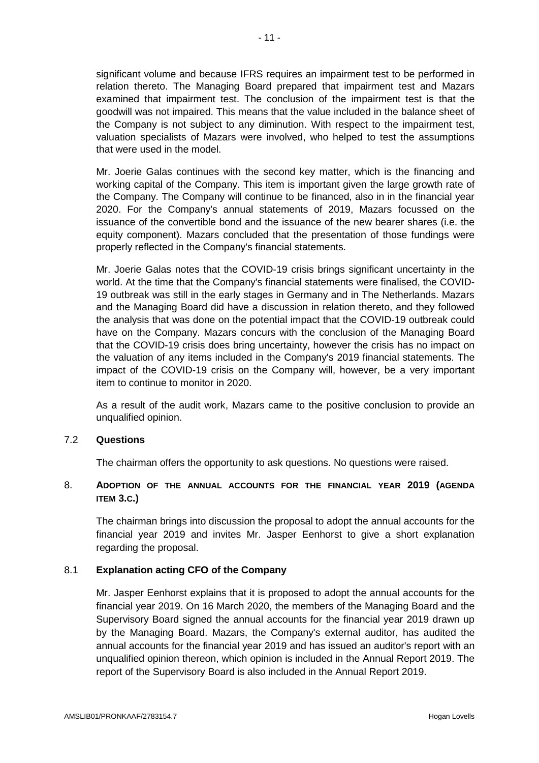significant volume and because IFRS requires an impairment test to be performed in relation thereto. The Managing Board prepared that impairment test and Mazars examined that impairment test. The conclusion of the impairment test is that the goodwill was not impaired. This means that the value included in the balance sheet of the Company is not subject to any diminution. With respect to the impairment test, valuation specialists of Mazars were involved, who helped to test the assumptions that were used in the model.

Mr. Joerie Galas continues with the second key matter, which is the financing and working capital of the Company. This item is important given the large growth rate of the Company. The Company will continue to be financed, also in in the financial year 2020. For the Company's annual statements of 2019, Mazars focussed on the issuance of the convertible bond and the issuance of the new bearer shares (i.e. the equity component). Mazars concluded that the presentation of those fundings were properly reflected in the Company's financial statements.

Mr. Joerie Galas notes that the COVID-19 crisis brings significant uncertainty in the world. At the time that the Company's financial statements were finalised, the COVID-19 outbreak was still in the early stages in Germany and in The Netherlands. Mazars and the Managing Board did have a discussion in relation thereto, and they followed the analysis that was done on the potential impact that the COVID-19 outbreak could have on the Company. Mazars concurs with the conclusion of the Managing Board that the COVID-19 crisis does bring uncertainty, however the crisis has no impact on the valuation of any items included in the Company's 2019 financial statements. The impact of the COVID-19 crisis on the Company will, however, be a very important item to continue to monitor in 2020.

As a result of the audit work, Mazars came to the positive conclusion to provide an unqualified opinion.

# 7.2 **Questions**

The chairman offers the opportunity to ask questions. No questions were raised.

# 8. **ADOPTION OF THE ANNUAL ACCOUNTS FOR THE FINANCIAL YEAR 2019 (AGENDA ITEM 3.C.)**

The chairman brings into discussion the proposal to adopt the annual accounts for the financial year 2019 and invites Mr. Jasper Eenhorst to give a short explanation regarding the proposal.

# 8.1 **Explanation acting CFO of the Company**

Mr. Jasper Eenhorst explains that it is proposed to adopt the annual accounts for the financial year 2019. On 16 March 2020, the members of the Managing Board and the Supervisory Board signed the annual accounts for the financial year 2019 drawn up by the Managing Board. Mazars, the Company's external auditor, has audited the annual accounts for the financial year 2019 and has issued an auditor's report with an unqualified opinion thereon, which opinion is included in the Annual Report 2019. The report of the Supervisory Board is also included in the Annual Report 2019.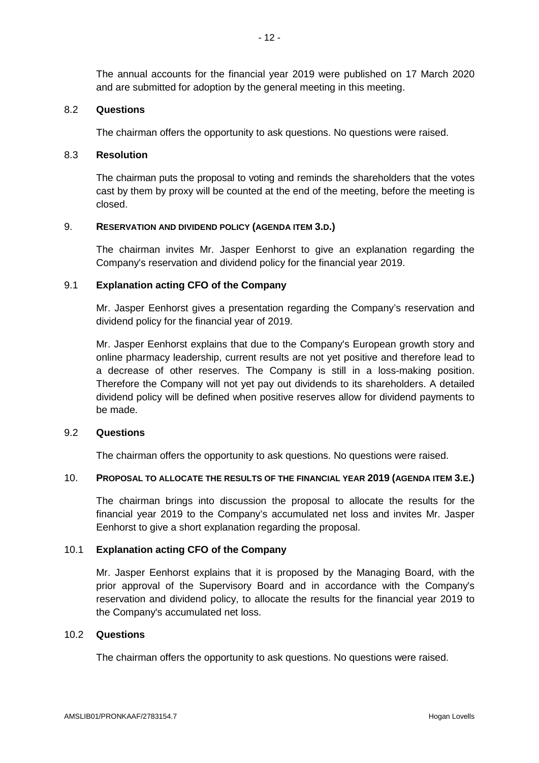The annual accounts for the financial year 2019 were published on 17 March 2020 and are submitted for adoption by the general meeting in this meeting.

#### 8.2 **Questions**

The chairman offers the opportunity to ask questions. No questions were raised.

### 8.3 **Resolution**

The chairman puts the proposal to voting and reminds the shareholders that the votes cast by them by proxy will be counted at the end of the meeting, before the meeting is closed.

## 9. **RESERVATION AND DIVIDEND POLICY (AGENDA ITEM 3.D.)**

The chairman invites Mr. Jasper Eenhorst to give an explanation regarding the Company's reservation and dividend policy for the financial year 2019.

### 9.1 **Explanation acting CFO of the Company**

Mr. Jasper Eenhorst gives a presentation regarding the Company's reservation and dividend policy for the financial year of 2019.

Mr. Jasper Eenhorst explains that due to the Company's European growth story and online pharmacy leadership, current results are not yet positive and therefore lead to a decrease of other reserves. The Company is still in a loss-making position. Therefore the Company will not yet pay out dividends to its shareholders. A detailed dividend policy will be defined when positive reserves allow for dividend payments to be made.

#### 9.2 **Questions**

The chairman offers the opportunity to ask questions. No questions were raised.

#### 10. **PROPOSAL TO ALLOCATE THE RESULTS OF THE FINANCIAL YEAR 2019 (AGENDA ITEM 3.E.)**

The chairman brings into discussion the proposal to allocate the results for the financial year 2019 to the Company's accumulated net loss and invites Mr. Jasper Eenhorst to give a short explanation regarding the proposal.

# 10.1 **Explanation acting CFO of the Company**

Mr. Jasper Eenhorst explains that it is proposed by the Managing Board, with the prior approval of the Supervisory Board and in accordance with the Company's reservation and dividend policy, to allocate the results for the financial year 2019 to the Company's accumulated net loss.

# 10.2 **Questions**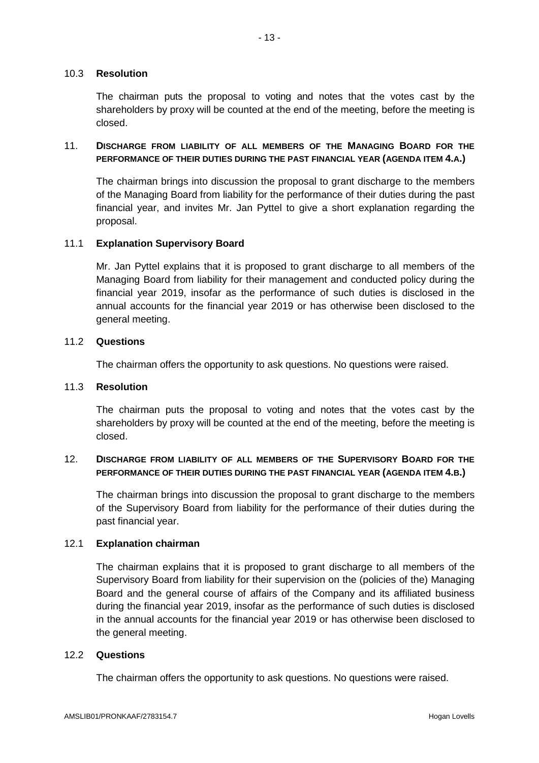## 10.3 **Resolution**

The chairman puts the proposal to voting and notes that the votes cast by the shareholders by proxy will be counted at the end of the meeting, before the meeting is closed.

# 11. **DISCHARGE FROM LIABILITY OF ALL MEMBERS OF THE MANAGING BOARD FOR THE PERFORMANCE OF THEIR DUTIES DURING THE PAST FINANCIAL YEAR (AGENDA ITEM 4.A.)**

The chairman brings into discussion the proposal to grant discharge to the members of the Managing Board from liability for the performance of their duties during the past financial year, and invites Mr. Jan Pyttel to give a short explanation regarding the proposal.

### 11.1 **Explanation Supervisory Board**

Mr. Jan Pyttel explains that it is proposed to grant discharge to all members of the Managing Board from liability for their management and conducted policy during the financial year 2019, insofar as the performance of such duties is disclosed in the annual accounts for the financial year 2019 or has otherwise been disclosed to the general meeting.

### 11.2 **Questions**

The chairman offers the opportunity to ask questions. No questions were raised.

#### 11.3 **Resolution**

The chairman puts the proposal to voting and notes that the votes cast by the shareholders by proxy will be counted at the end of the meeting, before the meeting is closed.

### 12. **DISCHARGE FROM LIABILITY OF ALL MEMBERS OF THE SUPERVISORY BOARD FOR THE PERFORMANCE OF THEIR DUTIES DURING THE PAST FINANCIAL YEAR (AGENDA ITEM 4.B.)**

The chairman brings into discussion the proposal to grant discharge to the members of the Supervisory Board from liability for the performance of their duties during the past financial year.

# 12.1 **Explanation chairman**

The chairman explains that it is proposed to grant discharge to all members of the Supervisory Board from liability for their supervision on the (policies of the) Managing Board and the general course of affairs of the Company and its affiliated business during the financial year 2019, insofar as the performance of such duties is disclosed in the annual accounts for the financial year 2019 or has otherwise been disclosed to the general meeting.

#### 12.2 **Questions**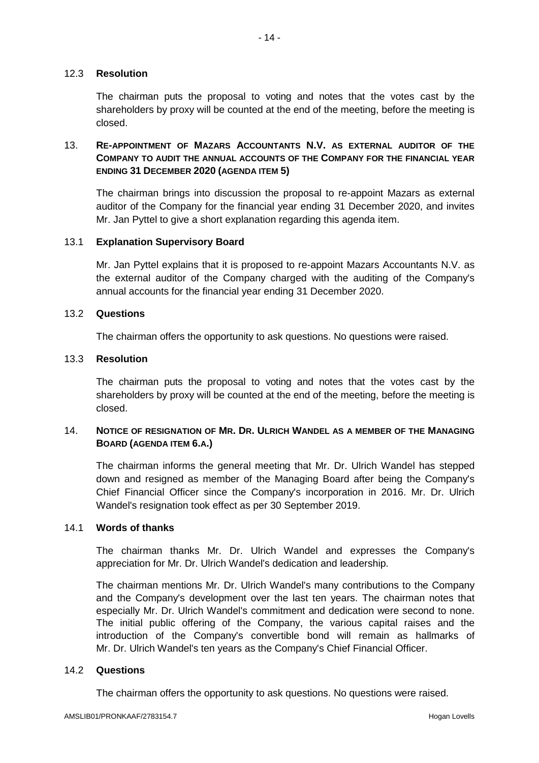### 12.3 **Resolution**

The chairman puts the proposal to voting and notes that the votes cast by the shareholders by proxy will be counted at the end of the meeting, before the meeting is closed.

# 13. **RE-APPOINTMENT OF MAZARS ACCOUNTANTS N.V. AS EXTERNAL AUDITOR OF THE COMPANY TO AUDIT THE ANNUAL ACCOUNTS OF THE COMPANY FOR THE FINANCIAL YEAR ENDING 31 DECEMBER 2020 (AGENDA ITEM 5)**

The chairman brings into discussion the proposal to re-appoint Mazars as external auditor of the Company for the financial year ending 31 December 2020, and invites Mr. Jan Pyttel to give a short explanation regarding this agenda item.

### 13.1 **Explanation Supervisory Board**

Mr. Jan Pyttel explains that it is proposed to re-appoint Mazars Accountants N.V. as the external auditor of the Company charged with the auditing of the Company's annual accounts for the financial year ending 31 December 2020.

### 13.2 **Questions**

The chairman offers the opportunity to ask questions. No questions were raised.

### 13.3 **Resolution**

The chairman puts the proposal to voting and notes that the votes cast by the shareholders by proxy will be counted at the end of the meeting, before the meeting is closed.

# 14. **NOTICE OF RESIGNATION OF MR. DR. ULRICH WANDEL AS A MEMBER OF THE MANAGING BOARD (AGENDA ITEM 6.A.)**

The chairman informs the general meeting that Mr. Dr. Ulrich Wandel has stepped down and resigned as member of the Managing Board after being the Company's Chief Financial Officer since the Company's incorporation in 2016. Mr. Dr. Ulrich Wandel's resignation took effect as per 30 September 2019.

### 14.1 **Words of thanks**

The chairman thanks Mr. Dr. Ulrich Wandel and expresses the Company's appreciation for Mr. Dr. Ulrich Wandel's dedication and leadership.

The chairman mentions Mr. Dr. Ulrich Wandel's many contributions to the Company and the Company's development over the last ten years. The chairman notes that especially Mr. Dr. Ulrich Wandel's commitment and dedication were second to none. The initial public offering of the Company, the various capital raises and the introduction of the Company's convertible bond will remain as hallmarks of Mr. Dr. Ulrich Wandel's ten years as the Company's Chief Financial Officer.

### 14.2 **Questions**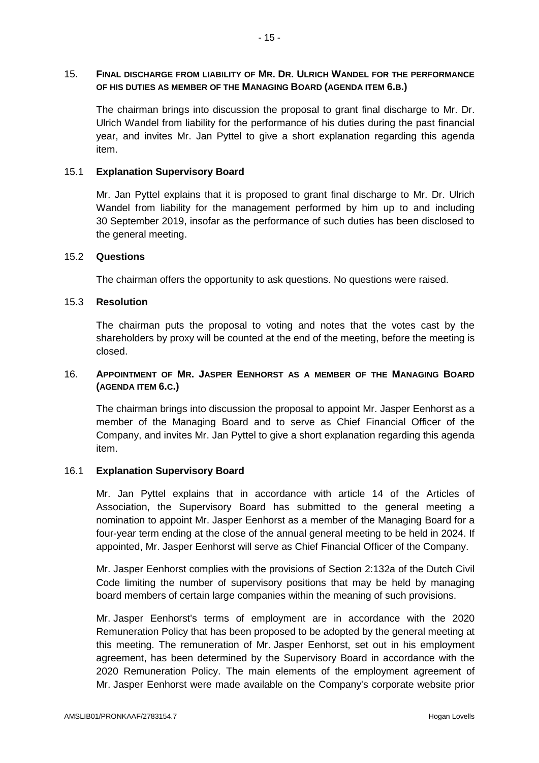## 15. **FINAL DISCHARGE FROM LIABILITY OF MR. DR. ULRICH WANDEL FOR THE PERFORMANCE OF HIS DUTIES AS MEMBER OF THE MANAGING BOARD (AGENDA ITEM 6.B.)**

The chairman brings into discussion the proposal to grant final discharge to Mr. Dr. Ulrich Wandel from liability for the performance of his duties during the past financial year, and invites Mr. Jan Pyttel to give a short explanation regarding this agenda item.

## 15.1 **Explanation Supervisory Board**

Mr. Jan Pyttel explains that it is proposed to grant final discharge to Mr. Dr. Ulrich Wandel from liability for the management performed by him up to and including 30 September 2019, insofar as the performance of such duties has been disclosed to the general meeting.

### 15.2 **Questions**

The chairman offers the opportunity to ask questions. No questions were raised.

### 15.3 **Resolution**

The chairman puts the proposal to voting and notes that the votes cast by the shareholders by proxy will be counted at the end of the meeting, before the meeting is closed.

# 16. **APPOINTMENT OF MR. JASPER EENHORST AS A MEMBER OF THE MANAGING BOARD (AGENDA ITEM 6.C.)**

The chairman brings into discussion the proposal to appoint Mr. Jasper Eenhorst as a member of the Managing Board and to serve as Chief Financial Officer of the Company, and invites Mr. Jan Pyttel to give a short explanation regarding this agenda item.

# 16.1 **Explanation Supervisory Board**

Mr. Jan Pyttel explains that in accordance with article 14 of the Articles of Association, the Supervisory Board has submitted to the general meeting a nomination to appoint Mr. Jasper Eenhorst as a member of the Managing Board for a four-year term ending at the close of the annual general meeting to be held in 2024. If appointed, Mr. Jasper Eenhorst will serve as Chief Financial Officer of the Company.

Mr. Jasper Eenhorst complies with the provisions of Section 2:132a of the Dutch Civil Code limiting the number of supervisory positions that may be held by managing board members of certain large companies within the meaning of such provisions.

Mr. Jasper Eenhorst's terms of employment are in accordance with the 2020 Remuneration Policy that has been proposed to be adopted by the general meeting at this meeting. The remuneration of Mr. Jasper Eenhorst, set out in his employment agreement, has been determined by the Supervisory Board in accordance with the 2020 Remuneration Policy. The main elements of the employment agreement of Mr. Jasper Eenhorst were made available on the Company's corporate website prior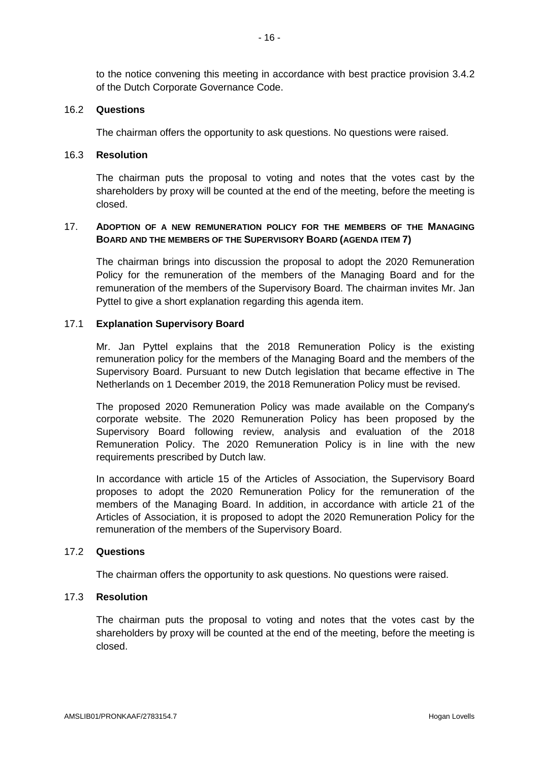to the notice convening this meeting in accordance with best practice provision 3.4.2 of the Dutch Corporate Governance Code.

#### 16.2 **Questions**

The chairman offers the opportunity to ask questions. No questions were raised.

### 16.3 **Resolution**

The chairman puts the proposal to voting and notes that the votes cast by the shareholders by proxy will be counted at the end of the meeting, before the meeting is closed.

## 17. **ADOPTION OF A NEW REMUNERATION POLICY FOR THE MEMBERS OF THE MANAGING BOARD AND THE MEMBERS OF THE SUPERVISORY BOARD (AGENDA ITEM 7)**

The chairman brings into discussion the proposal to adopt the 2020 Remuneration Policy for the remuneration of the members of the Managing Board and for the remuneration of the members of the Supervisory Board. The chairman invites Mr. Jan Pyttel to give a short explanation regarding this agenda item.

#### 17.1 **Explanation Supervisory Board**

Mr. Jan Pyttel explains that the 2018 Remuneration Policy is the existing remuneration policy for the members of the Managing Board and the members of the Supervisory Board. Pursuant to new Dutch legislation that became effective in The Netherlands on 1 December 2019, the 2018 Remuneration Policy must be revised.

The proposed 2020 Remuneration Policy was made available on the Company's corporate website. The 2020 Remuneration Policy has been proposed by the Supervisory Board following review, analysis and evaluation of the 2018 Remuneration Policy. The 2020 Remuneration Policy is in line with the new requirements prescribed by Dutch law.

In accordance with article 15 of the Articles of Association, the Supervisory Board proposes to adopt the 2020 Remuneration Policy for the remuneration of the members of the Managing Board. In addition, in accordance with article 21 of the Articles of Association, it is proposed to adopt the 2020 Remuneration Policy for the remuneration of the members of the Supervisory Board.

### 17.2 **Questions**

The chairman offers the opportunity to ask questions. No questions were raised.

### 17.3 **Resolution**

The chairman puts the proposal to voting and notes that the votes cast by the shareholders by proxy will be counted at the end of the meeting, before the meeting is closed.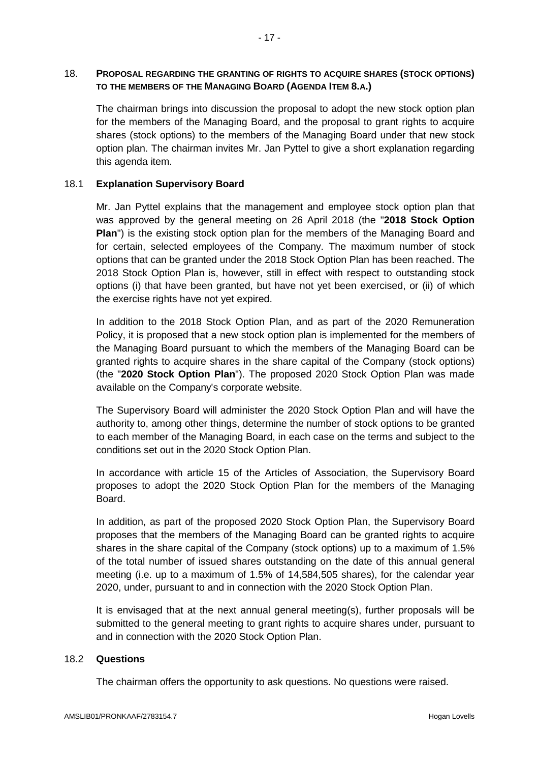# 18. **PROPOSAL REGARDING THE GRANTING OF RIGHTS TO ACQUIRE SHARES (STOCK OPTIONS) TO THE MEMBERS OF THE MANAGING BOARD (AGENDA ITEM 8.A.)**

The chairman brings into discussion the proposal to adopt the new stock option plan for the members of the Managing Board, and the proposal to grant rights to acquire shares (stock options) to the members of the Managing Board under that new stock option plan. The chairman invites Mr. Jan Pyttel to give a short explanation regarding this agenda item.

# 18.1 **Explanation Supervisory Board**

Mr. Jan Pyttel explains that the management and employee stock option plan that was approved by the general meeting on 26 April 2018 (the "**2018 Stock Option Plan**") is the existing stock option plan for the members of the Managing Board and for certain, selected employees of the Company. The maximum number of stock options that can be granted under the 2018 Stock Option Plan has been reached. The 2018 Stock Option Plan is, however, still in effect with respect to outstanding stock options (i) that have been granted, but have not yet been exercised, or (ii) of which the exercise rights have not yet expired.

In addition to the 2018 Stock Option Plan, and as part of the 2020 Remuneration Policy, it is proposed that a new stock option plan is implemented for the members of the Managing Board pursuant to which the members of the Managing Board can be granted rights to acquire shares in the share capital of the Company (stock options) (the "**2020 Stock Option Plan**"). The proposed 2020 Stock Option Plan was made available on the Company's corporate website.

The Supervisory Board will administer the 2020 Stock Option Plan and will have the authority to, among other things, determine the number of stock options to be granted to each member of the Managing Board, in each case on the terms and subject to the conditions set out in the 2020 Stock Option Plan.

In accordance with article 15 of the Articles of Association, the Supervisory Board proposes to adopt the 2020 Stock Option Plan for the members of the Managing Board.

In addition, as part of the proposed 2020 Stock Option Plan, the Supervisory Board proposes that the members of the Managing Board can be granted rights to acquire shares in the share capital of the Company (stock options) up to a maximum of 1.5% of the total number of issued shares outstanding on the date of this annual general meeting (i.e. up to a maximum of 1.5% of 14,584,505 shares), for the calendar year 2020, under, pursuant to and in connection with the 2020 Stock Option Plan.

It is envisaged that at the next annual general meeting(s), further proposals will be submitted to the general meeting to grant rights to acquire shares under, pursuant to and in connection with the 2020 Stock Option Plan.

# 18.2 **Questions**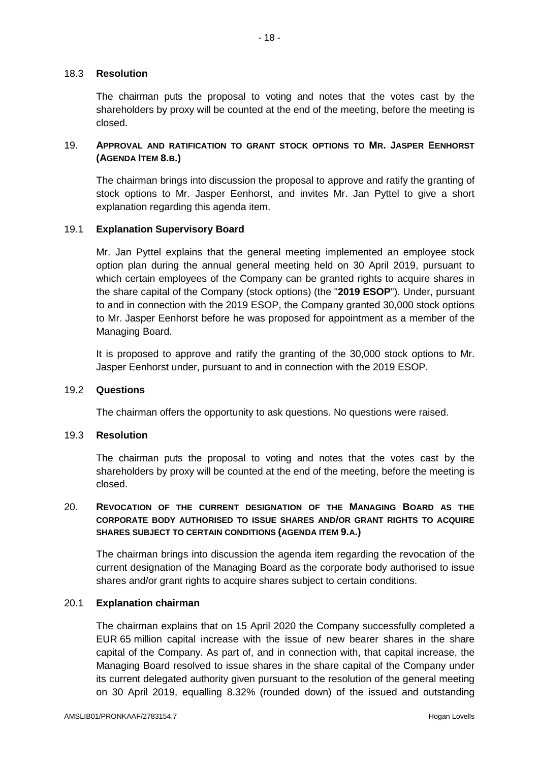## 18.3 **Resolution**

The chairman puts the proposal to voting and notes that the votes cast by the shareholders by proxy will be counted at the end of the meeting, before the meeting is closed.

# 19. **APPROVAL AND RATIFICATION TO GRANT STOCK OPTIONS TO MR. JASPER EENHORST (AGENDA ITEM 8.B.)**

The chairman brings into discussion the proposal to approve and ratify the granting of stock options to Mr. Jasper Eenhorst, and invites Mr. Jan Pyttel to give a short explanation regarding this agenda item.

#### 19.1 **Explanation Supervisory Board**

Mr. Jan Pyttel explains that the general meeting implemented an employee stock option plan during the annual general meeting held on 30 April 2019, pursuant to which certain employees of the Company can be granted rights to acquire shares in the share capital of the Company (stock options) (the "**2019 ESOP**"). Under, pursuant to and in connection with the 2019 ESOP, the Company granted 30,000 stock options to Mr. Jasper Eenhorst before he was proposed for appointment as a member of the Managing Board.

It is proposed to approve and ratify the granting of the 30,000 stock options to Mr. Jasper Eenhorst under, pursuant to and in connection with the 2019 ESOP.

#### 19.2 **Questions**

The chairman offers the opportunity to ask questions. No questions were raised.

### 19.3 **Resolution**

The chairman puts the proposal to voting and notes that the votes cast by the shareholders by proxy will be counted at the end of the meeting, before the meeting is closed.

# 20. **REVOCATION OF THE CURRENT DESIGNATION OF THE MANAGING BOARD AS THE CORPORATE BODY AUTHORISED TO ISSUE SHARES AND/OR GRANT RIGHTS TO ACQUIRE SHARES SUBJECT TO CERTAIN CONDITIONS (AGENDA ITEM 9.A.)**

The chairman brings into discussion the agenda item regarding the revocation of the current designation of the Managing Board as the corporate body authorised to issue shares and/or grant rights to acquire shares subject to certain conditions.

### 20.1 **Explanation chairman**

The chairman explains that on 15 April 2020 the Company successfully completed a EUR 65 million capital increase with the issue of new bearer shares in the share capital of the Company. As part of, and in connection with, that capital increase, the Managing Board resolved to issue shares in the share capital of the Company under its current delegated authority given pursuant to the resolution of the general meeting on 30 April 2019, equalling 8.32% (rounded down) of the issued and outstanding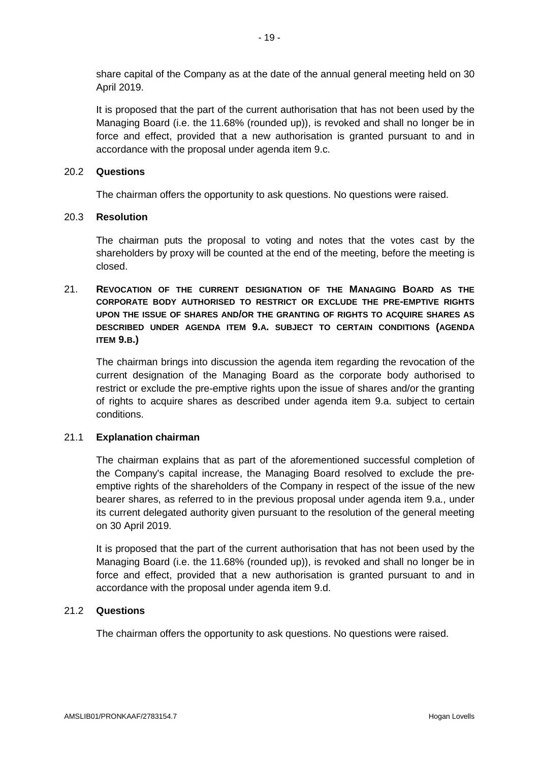share capital of the Company as at the date of the annual general meeting held on 30 April 2019.

It is proposed that the part of the current authorisation that has not been used by the Managing Board (i.e. the 11.68% (rounded up)), is revoked and shall no longer be in force and effect, provided that a new authorisation is granted pursuant to and in accordance with the proposal under agenda item 9.c.

### 20.2 **Questions**

The chairman offers the opportunity to ask questions. No questions were raised.

### 20.3 **Resolution**

The chairman puts the proposal to voting and notes that the votes cast by the shareholders by proxy will be counted at the end of the meeting, before the meeting is closed.

# 21. **REVOCATION OF THE CURRENT DESIGNATION OF THE MANAGING BOARD AS THE CORPORATE BODY AUTHORISED TO RESTRICT OR EXCLUDE THE PRE-EMPTIVE RIGHTS UPON THE ISSUE OF SHARES AND/OR THE GRANTING OF RIGHTS TO ACQUIRE SHARES AS DESCRIBED UNDER AGENDA ITEM 9.A. SUBJECT TO CERTAIN CONDITIONS (AGENDA ITEM 9.B.)**

The chairman brings into discussion the agenda item regarding the revocation of the current designation of the Managing Board as the corporate body authorised to restrict or exclude the pre-emptive rights upon the issue of shares and/or the granting of rights to acquire shares as described under agenda item 9.a. subject to certain conditions.

# 21.1 **Explanation chairman**

The chairman explains that as part of the aforementioned successful completion of the Company's capital increase, the Managing Board resolved to exclude the preemptive rights of the shareholders of the Company in respect of the issue of the new bearer shares, as referred to in the previous proposal under agenda item 9.a., under its current delegated authority given pursuant to the resolution of the general meeting on 30 April 2019.

It is proposed that the part of the current authorisation that has not been used by the Managing Board (i.e. the 11.68% (rounded up)), is revoked and shall no longer be in force and effect, provided that a new authorisation is granted pursuant to and in accordance with the proposal under agenda item 9.d.

# 21.2 **Questions**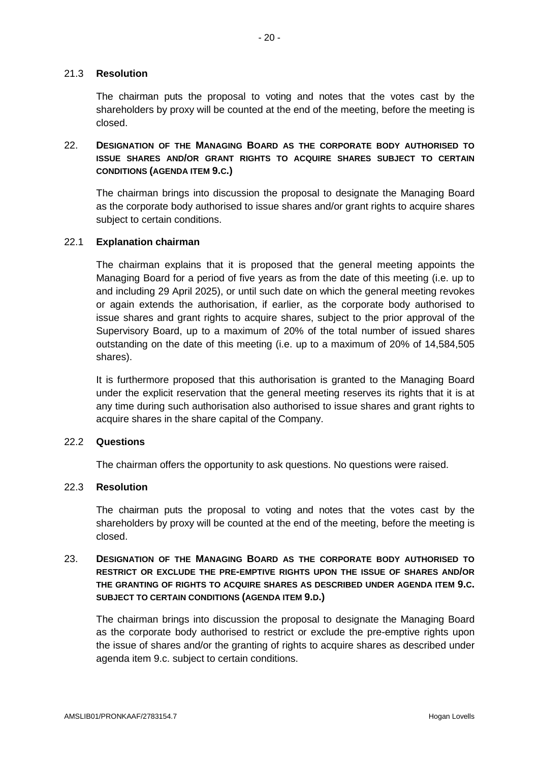The chairman puts the proposal to voting and notes that the votes cast by the shareholders by proxy will be counted at the end of the meeting, before the meeting is closed.

# 22. **DESIGNATION OF THE MANAGING BOARD AS THE CORPORATE BODY AUTHORISED TO ISSUE SHARES AND/OR GRANT RIGHTS TO ACQUIRE SHARES SUBJECT TO CERTAIN CONDITIONS (AGENDA ITEM 9.C.)**

The chairman brings into discussion the proposal to designate the Managing Board as the corporate body authorised to issue shares and/or grant rights to acquire shares subject to certain conditions.

# 22.1 **Explanation chairman**

The chairman explains that it is proposed that the general meeting appoints the Managing Board for a period of five years as from the date of this meeting (i.e. up to and including 29 April 2025), or until such date on which the general meeting revokes or again extends the authorisation, if earlier, as the corporate body authorised to issue shares and grant rights to acquire shares, subject to the prior approval of the Supervisory Board, up to a maximum of 20% of the total number of issued shares outstanding on the date of this meeting (i.e. up to a maximum of 20% of 14,584,505 shares).

It is furthermore proposed that this authorisation is granted to the Managing Board under the explicit reservation that the general meeting reserves its rights that it is at any time during such authorisation also authorised to issue shares and grant rights to acquire shares in the share capital of the Company.

# 22.2 **Questions**

The chairman offers the opportunity to ask questions. No questions were raised.

# 22.3 **Resolution**

The chairman puts the proposal to voting and notes that the votes cast by the shareholders by proxy will be counted at the end of the meeting, before the meeting is closed.

# 23. **DESIGNATION OF THE MANAGING BOARD AS THE CORPORATE BODY AUTHORISED TO RESTRICT OR EXCLUDE THE PRE-EMPTIVE RIGHTS UPON THE ISSUE OF SHARES AND/OR THE GRANTING OF RIGHTS TO ACQUIRE SHARES AS DESCRIBED UNDER AGENDA ITEM 9.C. SUBJECT TO CERTAIN CONDITIONS (AGENDA ITEM 9.D.)**

The chairman brings into discussion the proposal to designate the Managing Board as the corporate body authorised to restrict or exclude the pre-emptive rights upon the issue of shares and/or the granting of rights to acquire shares as described under agenda item 9.c. subject to certain conditions.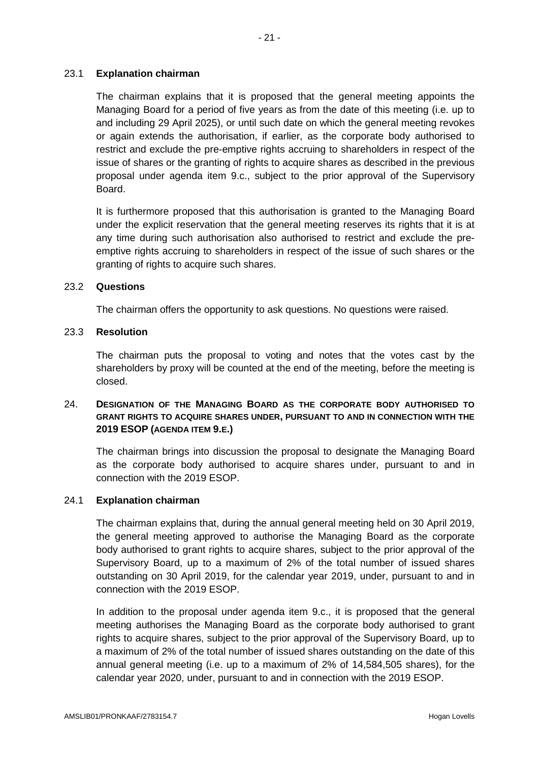# 23.1 **Explanation chairman**

The chairman explains that it is proposed that the general meeting appoints the Managing Board for a period of five years as from the date of this meeting (i.e. up to and including 29 April 2025), or until such date on which the general meeting revokes or again extends the authorisation, if earlier, as the corporate body authorised to restrict and exclude the pre-emptive rights accruing to shareholders in respect of the issue of shares or the granting of rights to acquire shares as described in the previous proposal under agenda item 9.c., subject to the prior approval of the Supervisory Board.

It is furthermore proposed that this authorisation is granted to the Managing Board under the explicit reservation that the general meeting reserves its rights that it is at any time during such authorisation also authorised to restrict and exclude the preemptive rights accruing to shareholders in respect of the issue of such shares or the granting of rights to acquire such shares.

# 23.2 **Questions**

The chairman offers the opportunity to ask questions. No questions were raised.

## 23.3 **Resolution**

The chairman puts the proposal to voting and notes that the votes cast by the shareholders by proxy will be counted at the end of the meeting, before the meeting is closed.

# 24. **DESIGNATION OF THE MANAGING BOARD AS THE CORPORATE BODY AUTHORISED TO GRANT RIGHTS TO ACQUIRE SHARES UNDER, PURSUANT TO AND IN CONNECTION WITH THE 2019 ESOP (AGENDA ITEM 9.E.)**

The chairman brings into discussion the proposal to designate the Managing Board as the corporate body authorised to acquire shares under, pursuant to and in connection with the 2019 ESOP.

### 24.1 **Explanation chairman**

The chairman explains that, during the annual general meeting held on 30 April 2019, the general meeting approved to authorise the Managing Board as the corporate body authorised to grant rights to acquire shares, subject to the prior approval of the Supervisory Board, up to a maximum of 2% of the total number of issued shares outstanding on 30 April 2019, for the calendar year 2019, under, pursuant to and in connection with the 2019 ESOP.

In addition to the proposal under agenda item 9.c., it is proposed that the general meeting authorises the Managing Board as the corporate body authorised to grant rights to acquire shares, subject to the prior approval of the Supervisory Board, up to a maximum of 2% of the total number of issued shares outstanding on the date of this annual general meeting (i.e. up to a maximum of 2% of 14,584,505 shares), for the calendar year 2020, under, pursuant to and in connection with the 2019 ESOP.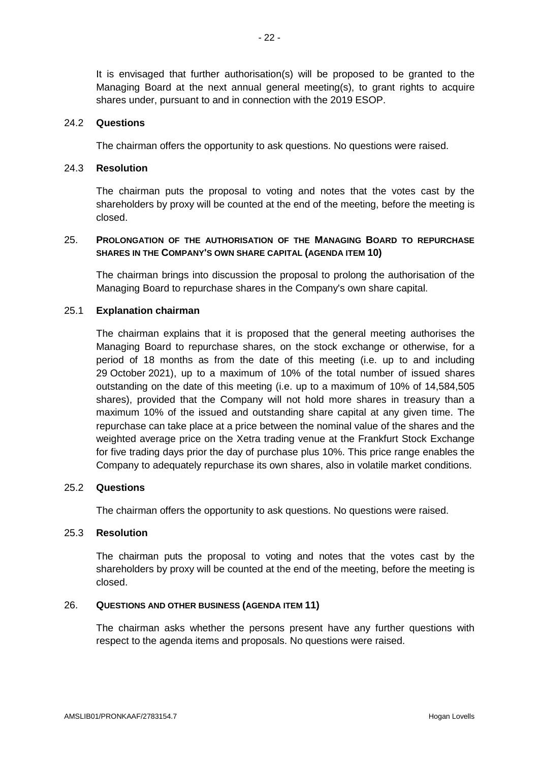It is envisaged that further authorisation(s) will be proposed to be granted to the Managing Board at the next annual general meeting(s), to grant rights to acquire shares under, pursuant to and in connection with the 2019 ESOP.

#### 24.2 **Questions**

The chairman offers the opportunity to ask questions. No questions were raised.

#### 24.3 **Resolution**

The chairman puts the proposal to voting and notes that the votes cast by the shareholders by proxy will be counted at the end of the meeting, before the meeting is closed.

### 25. **PROLONGATION OF THE AUTHORISATION OF THE MANAGING BOARD TO REPURCHASE SHARES IN THE COMPANY'S OWN SHARE CAPITAL (AGENDA ITEM 10)**

The chairman brings into discussion the proposal to prolong the authorisation of the Managing Board to repurchase shares in the Company's own share capital.

#### 25.1 **Explanation chairman**

The chairman explains that it is proposed that the general meeting authorises the Managing Board to repurchase shares, on the stock exchange or otherwise, for a period of 18 months as from the date of this meeting (i.e. up to and including 29 October 2021), up to a maximum of 10% of the total number of issued shares outstanding on the date of this meeting (i.e. up to a maximum of 10% of 14,584,505 shares), provided that the Company will not hold more shares in treasury than a maximum 10% of the issued and outstanding share capital at any given time. The repurchase can take place at a price between the nominal value of the shares and the weighted average price on the Xetra trading venue at the Frankfurt Stock Exchange for five trading days prior the day of purchase plus 10%. This price range enables the Company to adequately repurchase its own shares, also in volatile market conditions.

#### 25.2 **Questions**

The chairman offers the opportunity to ask questions. No questions were raised.

#### 25.3 **Resolution**

The chairman puts the proposal to voting and notes that the votes cast by the shareholders by proxy will be counted at the end of the meeting, before the meeting is closed.

#### 26. **QUESTIONS AND OTHER BUSINESS (AGENDA ITEM 11)**

The chairman asks whether the persons present have any further questions with respect to the agenda items and proposals. No questions were raised.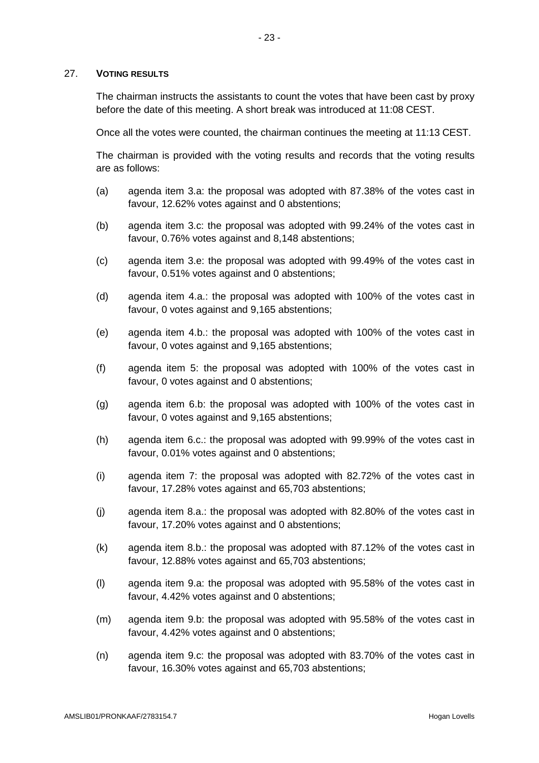### 27. **VOTING RESULTS**

The chairman instructs the assistants to count the votes that have been cast by proxy before the date of this meeting. A short break was introduced at 11:08 CEST.

Once all the votes were counted, the chairman continues the meeting at 11:13 CEST.

The chairman is provided with the voting results and records that the voting results are as follows:

- (a) agenda item 3.a: the proposal was adopted with 87.38% of the votes cast in favour, 12.62% votes against and 0 abstentions;
- (b) agenda item 3.c: the proposal was adopted with 99.24% of the votes cast in favour, 0.76% votes against and 8,148 abstentions;
- (c) agenda item 3.e: the proposal was adopted with 99.49% of the votes cast in favour, 0.51% votes against and 0 abstentions;
- (d) agenda item 4.a.: the proposal was adopted with 100% of the votes cast in favour, 0 votes against and 9,165 abstentions;
- (e) agenda item 4.b.: the proposal was adopted with 100% of the votes cast in favour, 0 votes against and 9,165 abstentions;
- (f) agenda item 5: the proposal was adopted with 100% of the votes cast in favour, 0 votes against and 0 abstentions;
- (g) agenda item 6.b: the proposal was adopted with 100% of the votes cast in favour, 0 votes against and 9,165 abstentions;
- (h) agenda item 6.c.: the proposal was adopted with 99.99% of the votes cast in favour, 0.01% votes against and 0 abstentions;
- (i) agenda item 7: the proposal was adopted with 82.72% of the votes cast in favour, 17.28% votes against and 65,703 abstentions;
- (j) agenda item 8.a.: the proposal was adopted with 82.80% of the votes cast in favour, 17.20% votes against and 0 abstentions;
- (k) agenda item 8.b.: the proposal was adopted with 87.12% of the votes cast in favour, 12.88% votes against and 65,703 abstentions;
- (l) agenda item 9.a: the proposal was adopted with 95.58% of the votes cast in favour, 4.42% votes against and 0 abstentions;
- (m) agenda item 9.b: the proposal was adopted with 95.58% of the votes cast in favour, 4.42% votes against and 0 abstentions;
- (n) agenda item 9.c: the proposal was adopted with 83.70% of the votes cast in favour, 16.30% votes against and 65,703 abstentions;